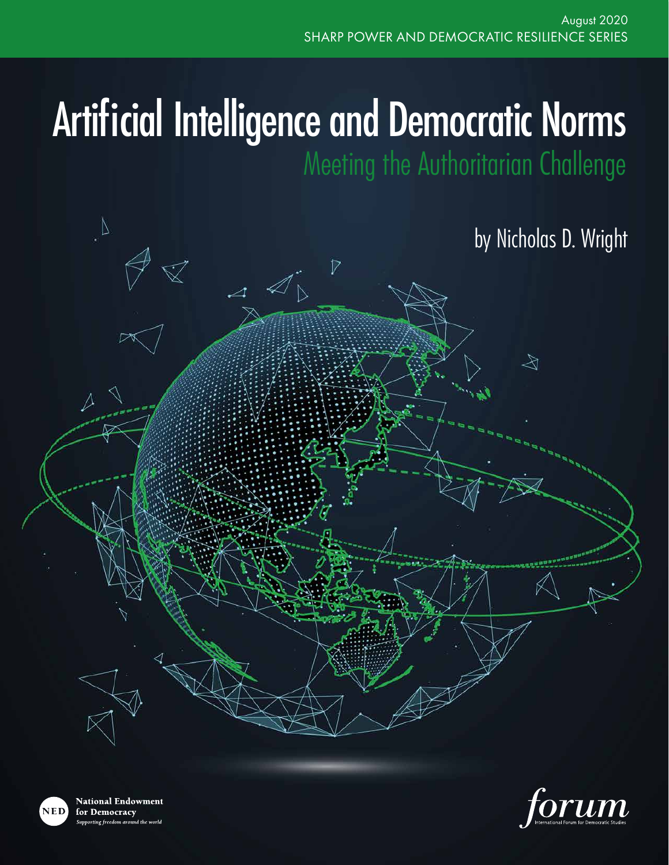# Artificial Intelligence and Democratic Norms

Meeting the Authoritarian Challenge

## by Nicholas D. Wright

 $\bigotimes$ 



**National Endowment** for Democracy rting freedom around the world

 $\Delta$ 

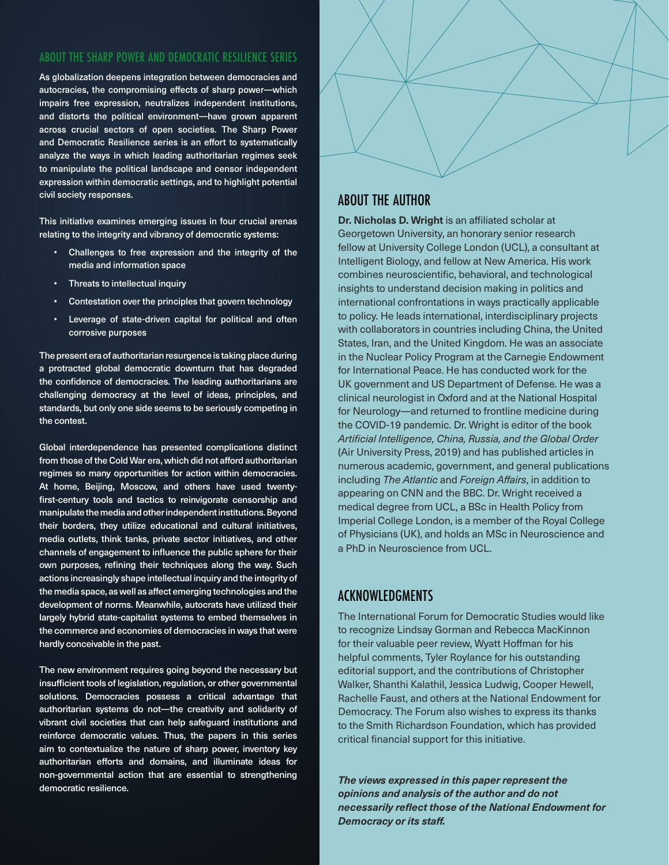#### ABOUT THE SHARP POWER AND DEMOCRATIC RESILIENCE SERIES

As globalization deepens integration between democracies and autocracies, the compromising effects of sharp power—which impairs free expression, neutralizes independent institutions, and distorts the political environment—have grown apparent across crucial sectors of open societies. The Sharp Power and Democratic Resilience series is an effort to systematically analyze the ways in which leading authoritarian regimes seek to manipulate the political landscape and censor independent expression within democratic settings, and to highlight potential civil society responses.

This initiative examines emerging issues in four crucial arenas relating to the integrity and vibrancy of democratic systems:

- Challenges to free expression and the integrity of the media and information space
- Threats to intellectual inquiry
- Contestation over the principles that govern technology
- Leverage of state-driven capital for political and often corrosive purposes

The present era of authoritarian resurgence is taking place during a protracted global democratic downturn that has degraded the confidence of democracies. The leading authoritarians are challenging democracy at the level of ideas, principles, and standards, but only one side seems to be seriously competing in the contest.

Global interdependence has presented complications distinct from those of the Cold War era, which did not afford authoritarian regimes so many opportunities for action within democracies. At home, Beijing, Moscow, and others have used twentyfirst-century tools and tactics to reinvigorate censorship and manipulate the media and other independent institutions. Beyond their borders, they utilize educational and cultural initiatives, media outlets, think tanks, private sector initiatives, and other channels of engagement to influence the public sphere for their own purposes, refining their techniques along the way. Such actions increasingly shape intellectual inquiry and the integrity of the media space, as well as affect emerging technologies and the development of norms. Meanwhile, autocrats have utilized their largely hybrid state-capitalist systems to embed themselves in the commerce and economies of democracies in ways that were hardly conceivable in the past.

The new environment requires going beyond the necessary but insufficient tools of legislation, regulation, or other governmental solutions. Democracies possess a critical advantage that authoritarian systems do not—the creativity and solidarity of vibrant civil societies that can help safeguard institutions and reinforce democratic values. Thus, the papers in this series aim to contextualize the nature of sharp power, inventory key authoritarian efforts and domains, and illuminate ideas for non-governmental action that are essential to strengthening democratic resilience.



#### ABOUT THE AUTHOR

**Dr. Nicholas D. Wright** is an affiliated scholar at Georgetown University, an honorary senior research fellow at University College London (UCL), a consultant at Intelligent Biology, and fellow at New America. His work combines neuroscientific, behavioral, and technological insights to understand decision making in politics and international confrontations in ways practically applicable to policy. He leads international, interdisciplinary projects with collaborators in countries including China, the United States, Iran, and the United Kingdom. He was an associate in the Nuclear Policy Program at the Carnegie Endowment for International Peace. He has conducted work for the UK government and US Department of Defense. He was a clinical neurologist in Oxford and at the National Hospital for Neurology—and returned to frontline medicine during the COVID-19 pandemic. Dr. Wright is editor of the book *Artificial Intelligence, China, Russia, and the Global Order*  (Air University Press, 2019) and has published articles in numerous academic, government, and general publications including *The Atlantic* and *Foreign Affairs*, in addition to appearing on CNN and the BBC. Dr. Wright received a medical degree from UCL, a BSc in Health Policy from Imperial College London, is a member of the Royal College of Physicians (UK), and holds an MSc in Neuroscience and a PhD in Neuroscience from UCL.

#### ACKNOWLEDGMENTS

The International Forum for Democratic Studies would like to recognize Lindsay Gorman and Rebecca MacKinnon for their valuable peer review, Wyatt Hoffman for his helpful comments, Tyler Roylance for his outstanding editorial support, and the contributions of Christopher Walker, Shanthi Kalathil, Jessica Ludwig, Cooper Hewell, Rachelle Faust, and others at the National Endowment for Democracy. The Forum also wishes to express its thanks to the Smith Richardson Foundation, which has provided critical financial support for this initiative.

*The views expressed in this paper represent the opinions and analysis of the author and do not necessarily reflect those of the National Endowment for Democracy or its staff.*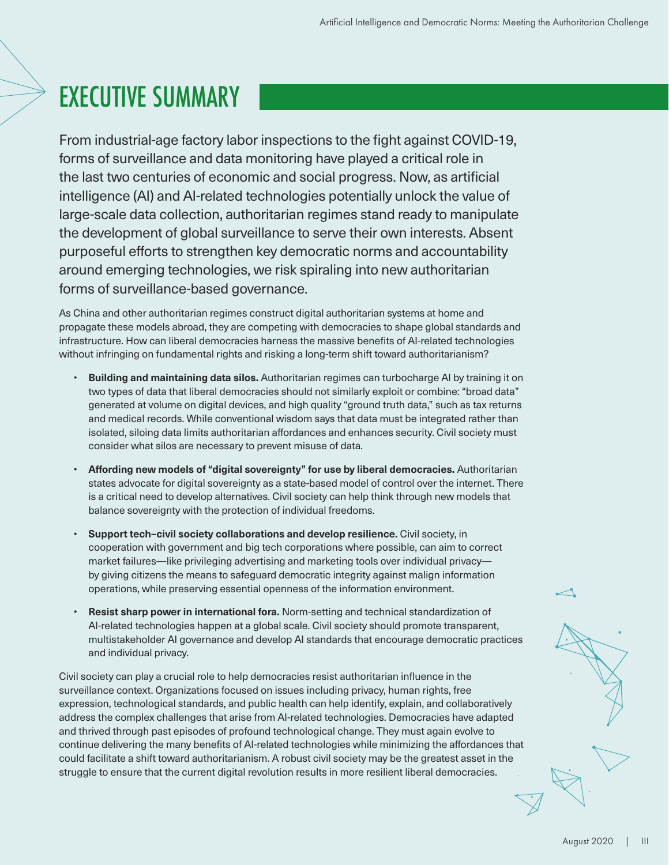# EXECUTIVE SUMMARY

From industrial-age factory labor inspections to the fight against COVID-19, forms of surveillance and data monitoring have played a critical role in the last two centuries of economic and social progress. Now, as artificial intelligence (AI) and AI-related technologies potentially unlock the value of large-scale data collection, authoritarian regimes stand ready to manipulate the development of global surveillance to serve their own interests. Absent purposeful efforts to strengthen key democratic norms and accountability around emerging technologies, we risk spiraling into new authoritarian forms of surveillance-based governance.

As China and other authoritarian regimes construct digital authoritarian systems at home and propagate these models abroad, they are competing with democracies to shape global standards and infrastructure. How can liberal democracies harness the massive benefits of AI-related technologies without infringing on fundamental rights and risking a long-term shift toward authoritarianism?

- **Building and maintaining data silos.** Authoritarian regimes can turbocharge AI by training it on two types of data that liberal democracies should not similarly exploit or combine: "broad data" generated at volume on digital devices, and high quality "ground truth data," such as tax returns and medical records. While conventional wisdom says that data must be integrated rather than isolated, siloing data limits authoritarian affordances and enhances security. Civil society must consider what silos are necessary to prevent misuse of data.
- **Affording new models of "digital sovereignty" for use by liberal democracies.** Authoritarian states advocate for digital sovereignty as a state-based model of control over the internet. There is a critical need to develop alternatives. Civil society can help think through new models that balance sovereignty with the protection of individual freedoms.
- **Support tech–civil society collaborations and develop resilience.** Civil society, in cooperation with government and big tech corporations where possible, can aim to correct market failures—like privileging advertising and marketing tools over individual privacy by giving citizens the means to safeguard democratic integrity against malign information operations, while preserving essential openness of the information environment.
- **Resist sharp power in international fora.** Norm-setting and technical standardization of AI-related technologies happen at a global scale. Civil society should promote transparent, multistakeholder AI governance and develop AI standards that encourage democratic practices and individual privacy.

Civil society can play a crucial role to help democracies resist authoritarian influence in the surveillance context. Organizations focused on issues including privacy, human rights, free expression, technological standards, and public health can help identify, explain, and collaboratively address the complex challenges that arise from AI-related technologies. Democracies have adapted and thrived through past episodes of profound technological change. They must again evolve to continue delivering the many benefits of AI-related technologies while minimizing the affordances that could facilitate a shift toward authoritarianism. A robust civil society may be the greatest asset in the struggle to ensure that the current digital revolution results in more resilient liberal democracies.

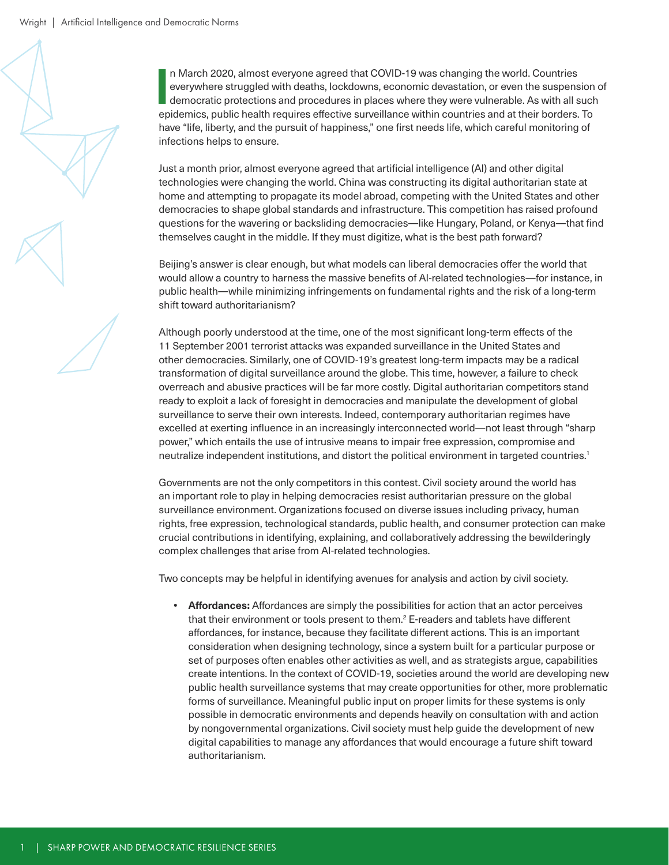**I** n March 2020, almost everyone agreed that COVID-19 was changing the world. Countries everywhere struggled with deaths, lockdowns, economic devastation, or even the suspension of democratic protections and procedures in places where they were vulnerable. As with all such epidemics, public health requires effective surveillance within countries and at their borders. To have "life, liberty, and the pursuit of happiness," one first needs life, which careful monitoring of infections helps to ensure.

Just a month prior, almost everyone agreed that artificial intelligence (AI) and other digital technologies were changing the world. China was constructing its digital authoritarian state at home and attempting to propagate its model abroad, competing with the United States and other democracies to shape global standards and infrastructure. This competition has raised profound questions for the wavering or backsliding democracies—like Hungary, Poland, or Kenya—that find themselves caught in the middle. If they must digitize, what is the best path forward?

Beijing's answer is clear enough, but what models can liberal democracies offer the world that would allow a country to harness the massive benefits of AI-related technologies—for instance, in public health—while minimizing infringements on fundamental rights and the risk of a long-term shift toward authoritarianism?

Although poorly understood at the time, one of the most significant long-term effects of the 11 September 2001 terrorist attacks was expanded surveillance in the United States and other democracies. Similarly, one of COVID-19's greatest long-term impacts may be a radical transformation of digital surveillance around the globe. This time, however, a failure to check overreach and abusive practices will be far more costly. Digital authoritarian competitors stand ready to exploit a lack of foresight in democracies and manipulate the development of global surveillance to serve their own interests. Indeed, contemporary authoritarian regimes have excelled at exerting influence in an increasingly interconnected world—not least through "sharp power," which entails the use of intrusive means to impair free expression, compromise and neutralize independent institutions, and distort the political environment in targeted countries.1

Governments are not the only competitors in this contest. Civil society around the world has an important role to play in helping democracies resist authoritarian pressure on the global surveillance environment. Organizations focused on diverse issues including privacy, human rights, free expression, technological standards, public health, and consumer protection can make crucial contributions in identifying, explaining, and collaboratively addressing the bewilderingly complex challenges that arise from AI-related technologies.

Two concepts may be helpful in identifying avenues for analysis and action by civil society.

**• Affordances:** Affordances are simply the possibilities for action that an actor perceives that their environment or tools present to them.<sup>2</sup> E-readers and tablets have different affordances, for instance, because they facilitate different actions. This is an important consideration when designing technology, since a system built for a particular purpose or set of purposes often enables other activities as well, and as strategists argue, capabilities create intentions. In the context of COVID-19, societies around the world are developing new public health surveillance systems that may create opportunities for other, more problematic forms of surveillance. Meaningful public input on proper limits for these systems is only possible in democratic environments and depends heavily on consultation with and action by nongovernmental organizations. Civil society must help guide the development of new digital capabilities to manage any affordances that would encourage a future shift toward authoritarianism.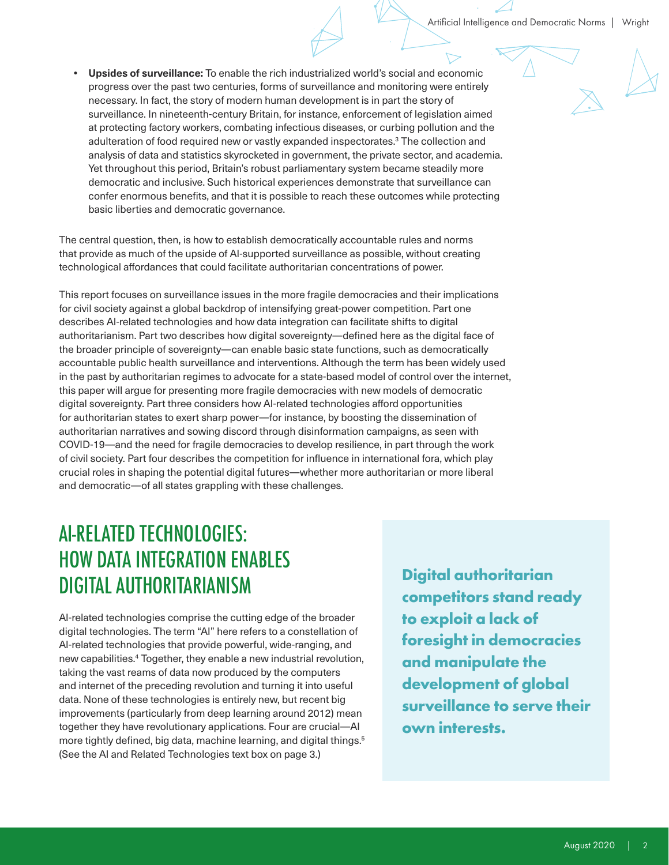**• Upsides of surveillance:** To enable the rich industrialized world's social and economic progress over the past two centuries, forms of surveillance and monitoring were entirely necessary. In fact, the story of modern human development is in part the story of surveillance. In nineteenth-century Britain, for instance, enforcement of legislation aimed at protecting factory workers, combating infectious diseases, or curbing pollution and the adulteration of food required new or vastly expanded inspectorates.<sup>3</sup> The collection and analysis of data and statistics skyrocketed in government, the private sector, and academia. Yet throughout this period, Britain's robust parliamentary system became steadily more democratic and inclusive. Such historical experiences demonstrate that surveillance can confer enormous benefits, and that it is possible to reach these outcomes while protecting basic liberties and democratic governance.

The central question, then, is how to establish democratically accountable rules and norms that provide as much of the upside of AI-supported surveillance as possible, without creating technological affordances that could facilitate authoritarian concentrations of power.

This report focuses on surveillance issues in the more fragile democracies and their implications for civil society against a global backdrop of intensifying great-power competition. Part one describes AI-related technologies and how data integration can facilitate shifts to digital authoritarianism. Part two describes how digital sovereignty—defined here as the digital face of the broader principle of sovereignty—can enable basic state functions, such as democratically accountable public health surveillance and interventions. Although the term has been widely used in the past by authoritarian regimes to advocate for a state-based model of control over the internet, this paper will argue for presenting more fragile democracies with new models of democratic digital sovereignty. Part three considers how AI-related technologies afford opportunities for authoritarian states to exert sharp power—for instance, by boosting the dissemination of authoritarian narratives and sowing discord through disinformation campaigns, as seen with COVID-19—and the need for fragile democracies to develop resilience, in part through the work of civil society. Part four describes the competition for influence in international fora, which play crucial roles in shaping the potential digital futures—whether more authoritarian or more liberal and democratic—of all states grappling with these challenges.

## AI-RELATED TECHNOLOGIES: HOW DATA INTEGRATION ENABLES DIGITAL AUTHORITARIANISM

AI-related technologies comprise the cutting edge of the broader digital technologies. The term "AI" here refers to a constellation of AI-related technologies that provide powerful, wide-ranging, and new capabilities.4 Together, they enable a new industrial revolution, taking the vast reams of data now produced by the computers and internet of the preceding revolution and turning it into useful data. None of these technologies is entirely new, but recent big improvements (particularly from deep learning around 2012) mean together they have revolutionary applications. Four are crucial—AI more tightly defined, big data, machine learning, and digital things.<sup>5</sup> (See the AI and Related Technologies text box on page 3.)

**Digital authoritarian competitors stand ready to exploit a lack of foresight in democracies and manipulate the development of global surveillance to serve their own interests.**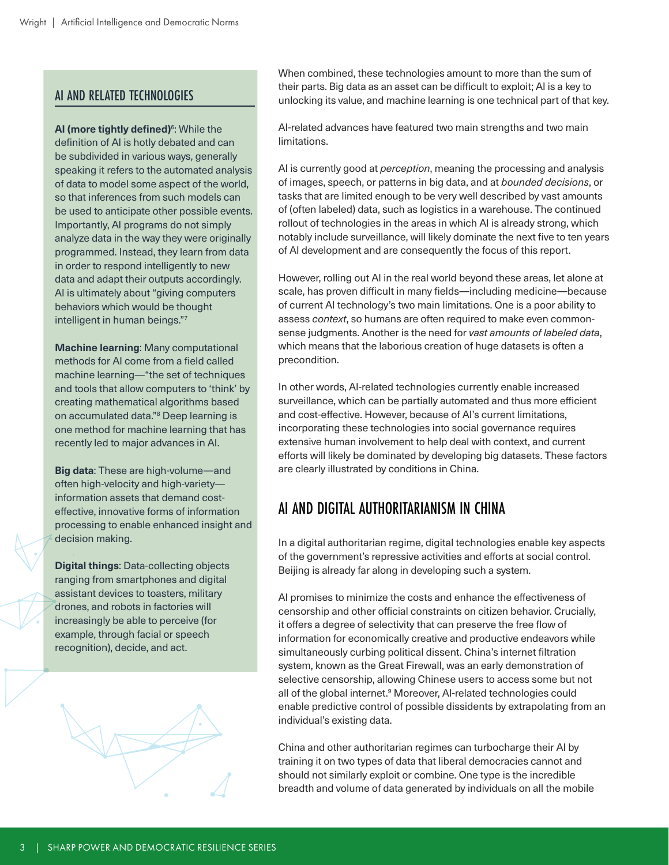#### AI AND RELATED TECHNOLOGIES

**AI (more tightly defined)**<sup>6</sup> : While the definition of AI is hotly debated and can be subdivided in various ways, generally speaking it refers to the automated analysis of data to model some aspect of the world, so that inferences from such models can be used to anticipate other possible events. Importantly, AI programs do not simply analyze data in the way they were originally programmed. Instead, they learn from data in order to respond intelligently to new data and adapt their outputs accordingly. AI is ultimately about "giving computers behaviors which would be thought intelligent in human beings."7

**Machine learning**: Many computational methods for AI come from a field called machine learning—"the set of techniques and tools that allow computers to 'think' by creating mathematical algorithms based on accumulated data."8 Deep learning is one method for machine learning that has recently led to major advances in AI.

**Big data**: These are high-volume—and often high-velocity and high-variety information assets that demand costeffective, innovative forms of information processing to enable enhanced insight and decision making.

**Digital things**: Data-collecting objects ranging from smartphones and digital assistant devices to toasters, military drones, and robots in factories will increasingly be able to perceive (for example, through facial or speech recognition), decide, and act.



When combined, these technologies amount to more than the sum of their parts. Big data as an asset can be difficult to exploit; AI is a key to unlocking its value, and machine learning is one technical part of that key.

AI-related advances have featured two main strengths and two main limitations.

AI is currently good at *perception*, meaning the processing and analysis of images, speech, or patterns in big data, and at *bounded decisions*, or tasks that are limited enough to be very well described by vast amounts of (often labeled) data, such as logistics in a warehouse. The continued rollout of technologies in the areas in which AI is already strong, which notably include surveillance, will likely dominate the next five to ten years of AI development and are consequently the focus of this report.

However, rolling out AI in the real world beyond these areas, let alone at scale, has proven difficult in many fields—including medicine—because of current AI technology's two main limitations. One is a poor ability to assess *context*, so humans are often required to make even commonsense judgments. Another is the need for *vast amounts of labeled data*, which means that the laborious creation of huge datasets is often a precondition.

In other words, AI-related technologies currently enable increased surveillance, which can be partially automated and thus more efficient and cost-effective. However, because of AI's current limitations, incorporating these technologies into social governance requires extensive human involvement to help deal with context, and current efforts will likely be dominated by developing big datasets. These factors are clearly illustrated by conditions in China.

### AI AND DIGITAL AUTHORITARIANISM IN CHINA

In a digital authoritarian regime, digital technologies enable key aspects of the government's repressive activities and efforts at social control. Beijing is already far along in developing such a system.

AI promises to minimize the costs and enhance the effectiveness of censorship and other official constraints on citizen behavior. Crucially, it offers a degree of selectivity that can preserve the free flow of information for economically creative and productive endeavors while simultaneously curbing political dissent. China's internet filtration system, known as the Great Firewall, was an early demonstration of selective censorship, allowing Chinese users to access some but not all of the global internet.<sup>9</sup> Moreover, Al-related technologies could enable predictive control of possible dissidents by extrapolating from an individual's existing data.

China and other authoritarian regimes can turbocharge their AI by training it on two types of data that liberal democracies cannot and should not similarly exploit or combine. One type is the incredible breadth and volume of data generated by individuals on all the mobile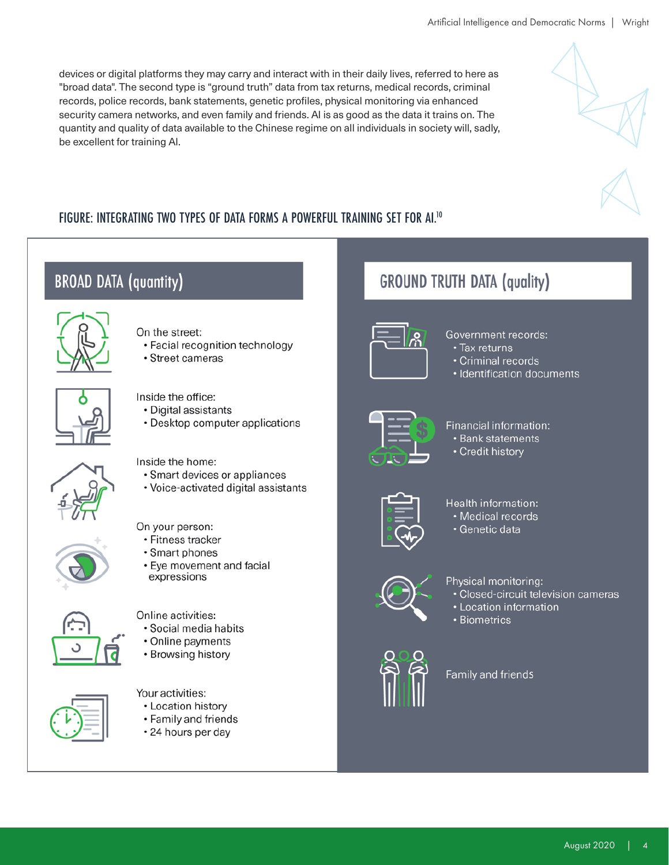devices or digital platforms they may carry and interact with in their daily lives, referred to here as "broad data". The second type is "ground truth" data from tax returns, medical records, criminal records, police records, bank statements, genetic profiles, physical monitoring via enhanced security camera networks, and even family and friends. AI is as good as the data it trains on. The quantity and quality of data available to the Chinese regime on all individuals in society will, sadly, be excellent for training AI.

#### FIGURE: INTEGRATING TWO TYPES OF DATA FORMS A POWERFUL TRAINING SET FOR AI.<sup>10</sup>



**BROAD DATA (quantity)** 

On the street:

- Facial recognition technology
- Street cameras



#### Government records:

· Tax returns

**GROUND TRUTH DATA (quality)** 

- · Criminal records
- · Identification documents



#### Inside the office:

· Digital assistants

• Desktop computer applications

Inside the home:

- · Smart devices or appliances
- Voice-activated digital assistants

On your person:

- Fitness tracker
- Smart phones
- Eye movement and facial expressions





Online activities:

- · Social media habits
- Online payments
- Browsing history

#### Your activities:

- Location history
- Family and friends
- · 24 hours per day



#### Financial information: • Bank statements

• Credit history



#### Health information:

- · Medical records
- · Genetic data



#### Physical monitoring:

- · Closed-circuit television cameras
- Location information
- · Biometrics



#### Family and friends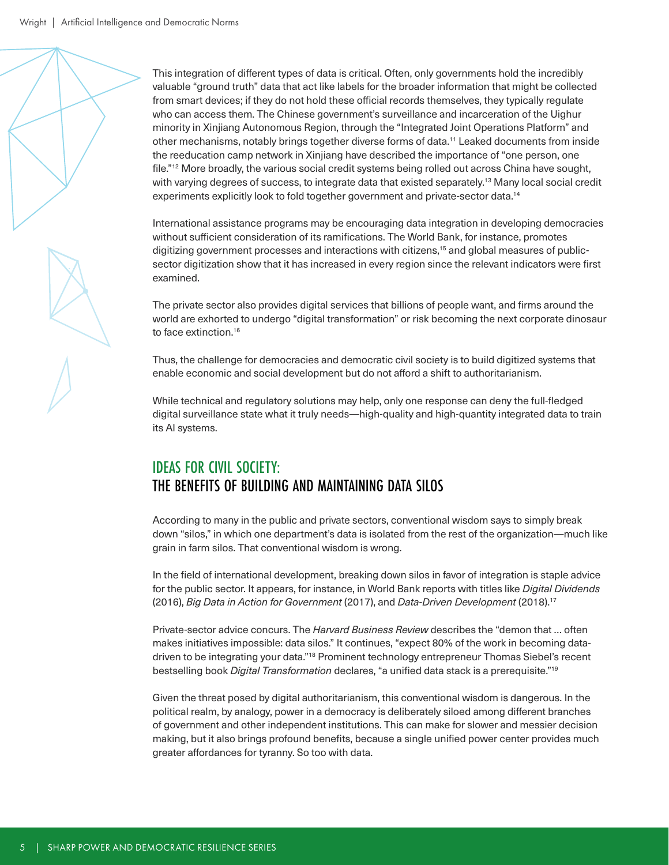This integration of different types of data is critical. Often, only governments hold the incredibly valuable "ground truth" data that act like labels for the broader information that might be collected from smart devices; if they do not hold these official records themselves, they typically regulate who can access them. The Chinese government's surveillance and incarceration of the Uighur minority in Xinjiang Autonomous Region, through the "Integrated Joint Operations Platform" and other mechanisms, notably brings together diverse forms of data.11 Leaked documents from inside the reeducation camp network in Xinjiang have described the importance of "one person, one file."<sup>12</sup> More broadly, the various social credit systems being rolled out across China have sought, with varying degrees of success, to integrate data that existed separately.<sup>13</sup> Many local social credit experiments explicitly look to fold together government and private-sector data.14

International assistance programs may be encouraging data integration in developing democracies without sufficient consideration of its ramifications. The World Bank, for instance, promotes digitizing government processes and interactions with citizens,15 and global measures of publicsector digitization show that it has increased in every region since the relevant indicators were first examined.

The private sector also provides digital services that billions of people want, and firms around the world are exhorted to undergo "digital transformation" or risk becoming the next corporate dinosaur to face extinction.16

Thus, the challenge for democracies and democratic civil society is to build digitized systems that enable economic and social development but do not afford a shift to authoritarianism.

While technical and regulatory solutions may help, only one response can deny the full-fledged digital surveillance state what it truly needs—high-quality and high-quantity integrated data to train its AI systems.

#### IDEAS FOR CIVIL SOCIETY: THE BENEFITS OF BUILDING AND MAINTAINING DATA SILOS

According to many in the public and private sectors, conventional wisdom says to simply break down "silos," in which one department's data is isolated from the rest of the organization—much like grain in farm silos. That conventional wisdom is wrong.

In the field of international development, breaking down silos in favor of integration is staple advice for the public sector. It appears, for instance, in World Bank reports with titles like *Digital Dividends* (2016), *Big Data in Action for Government* (2017), and *Data-Driven Development* (2018).17

Private-sector advice concurs. The *Harvard Business Review* describes the "demon that … often makes initiatives impossible: data silos." It continues, "expect 80% of the work in becoming datadriven to be integrating your data."18 Prominent technology entrepreneur Thomas Siebel's recent bestselling book *Digital Transformation* declares, "a unified data stack is a prerequisite."19

Given the threat posed by digital authoritarianism, this conventional wisdom is dangerous. In the political realm, by analogy, power in a democracy is deliberately siloed among different branches of government and other independent institutions. This can make for slower and messier decision making, but it also brings profound benefits, because a single unified power center provides much greater affordances for tyranny. So too with data.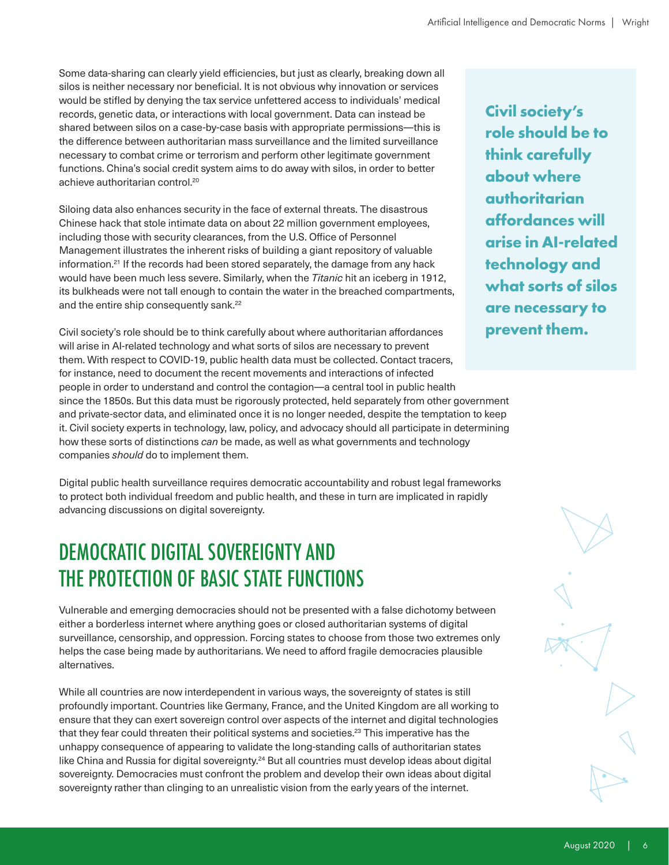Some data-sharing can clearly yield efficiencies, but just as clearly, breaking down all silos is neither necessary nor beneficial. It is not obvious why innovation or services would be stifled by denying the tax service unfettered access to individuals' medical records, genetic data, or interactions with local government. Data can instead be shared between silos on a case-by-case basis with appropriate permissions—this is the difference between authoritarian mass surveillance and the limited surveillance necessary to combat crime or terrorism and perform other legitimate government functions. China's social credit system aims to do away with silos, in order to better achieve authoritarian control.20

Siloing data also enhances security in the face of external threats. The disastrous Chinese hack that stole intimate data on about 22 million government employees, including those with security clearances, from the U.S. Office of Personnel Management illustrates the inherent risks of building a giant repository of valuable information.<sup>21</sup> If the records had been stored separately, the damage from any hack would have been much less severe. Similarly, when the *Titanic* hit an iceberg in 1912, its bulkheads were not tall enough to contain the water in the breached compartments, and the entire ship consequently sank.<sup>22</sup>

Civil society's role should be to think carefully about where authoritarian affordances will arise in AI-related technology and what sorts of silos are necessary to prevent them. With respect to COVID-19, public health data must be collected. Contact tracers, for instance, need to document the recent movements and interactions of infected people in order to understand and control the contagion—a central tool in public health since the 1850s. But this data must be rigorously protected, held separately from other government and private-sector data, and eliminated once it is no longer needed, despite the temptation to keep it. Civil society experts in technology, law, policy, and advocacy should all participate in determining how these sorts of distinctions *can* be made, as well as what governments and technology companies *should* do to implement them.

Digital public health surveillance requires democratic accountability and robust legal frameworks to protect both individual freedom and public health, and these in turn are implicated in rapidly advancing discussions on digital sovereignty.

## DEMOCRATIC DIGITAL SOVEREIGNTY AND THE PROTECTION OF BASIC STATE FUNCTIONS

Vulnerable and emerging democracies should not be presented with a false dichotomy between either a borderless internet where anything goes or closed authoritarian systems of digital surveillance, censorship, and oppression. Forcing states to choose from those two extremes only helps the case being made by authoritarians. We need to afford fragile democracies plausible alternatives.

While all countries are now interdependent in various ways, the sovereignty of states is still profoundly important. Countries like Germany, France, and the United Kingdom are all working to ensure that they can exert sovereign control over aspects of the internet and digital technologies that they fear could threaten their political systems and societies.<sup>23</sup> This imperative has the unhappy consequence of appearing to validate the long-standing calls of authoritarian states like China and Russia for digital sovereignty.<sup>24</sup> But all countries must develop ideas about digital sovereignty. Democracies must confront the problem and develop their own ideas about digital sovereignty rather than clinging to an unrealistic vision from the early years of the internet.

**Civil society's role should be to think carefully about where authoritarian affordances will arise in AI-related technology and what sorts of silos are necessary to prevent them.**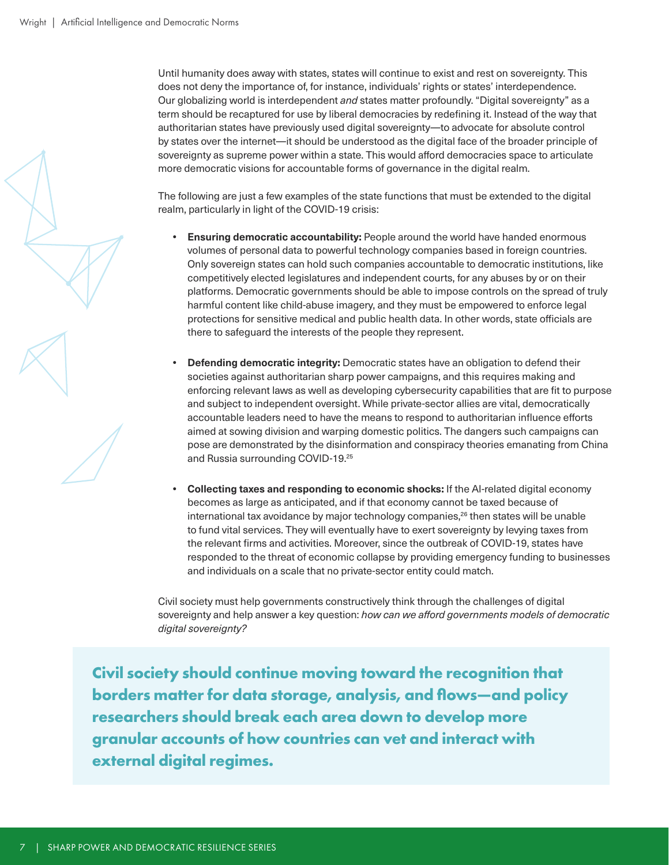Until humanity does away with states, states will continue to exist and rest on sovereignty. This does not deny the importance of, for instance, individuals' rights or states' interdependence. Our globalizing world is interdependent *and* states matter profoundly. "Digital sovereignty" as a term should be recaptured for use by liberal democracies by redefining it. Instead of the way that authoritarian states have previously used digital sovereignty—to advocate for absolute control by states over the internet—it should be understood as the digital face of the broader principle of sovereignty as supreme power within a state. This would afford democracies space to articulate more democratic visions for accountable forms of governance in the digital realm.

The following are just a few examples of the state functions that must be extended to the digital realm, particularly in light of the COVID-19 crisis:

- **• Ensuring democratic accountability:** People around the world have handed enormous volumes of personal data to powerful technology companies based in foreign countries. Only sovereign states can hold such companies accountable to democratic institutions, like competitively elected legislatures and independent courts, for any abuses by or on their platforms. Democratic governments should be able to impose controls on the spread of truly harmful content like child-abuse imagery, and they must be empowered to enforce legal protections for sensitive medical and public health data. In other words, state officials are there to safeguard the interests of the people they represent.
- **• Defending democratic integrity:** Democratic states have an obligation to defend their societies against authoritarian sharp power campaigns, and this requires making and enforcing relevant laws as well as developing cybersecurity capabilities that are fit to purpose and subject to independent oversight. While private-sector allies are vital, democratically accountable leaders need to have the means to respond to authoritarian influence efforts aimed at sowing division and warping domestic politics. The dangers such campaigns can pose are demonstrated by the disinformation and conspiracy theories emanating from China and Russia surrounding COVID-19.25
- **• Collecting taxes and responding to economic shocks:** If the AI-related digital economy becomes as large as anticipated, and if that economy cannot be taxed because of international tax avoidance by major technology companies,<sup>26</sup> then states will be unable to fund vital services. They will eventually have to exert sovereignty by levying taxes from the relevant firms and activities. Moreover, since the outbreak of COVID-19, states have responded to the threat of economic collapse by providing emergency funding to businesses and individuals on a scale that no private-sector entity could match.

Civil society must help governments constructively think through the challenges of digital sovereignty and help answer a key question: *how can we afford governments models of democratic digital sovereignty?*

**Civil society should continue moving toward the recognition that borders matter for data storage, analysis, and flows—and policy researchers should break each area down to develop more granular accounts of how countries can vet and interact with external digital regimes.**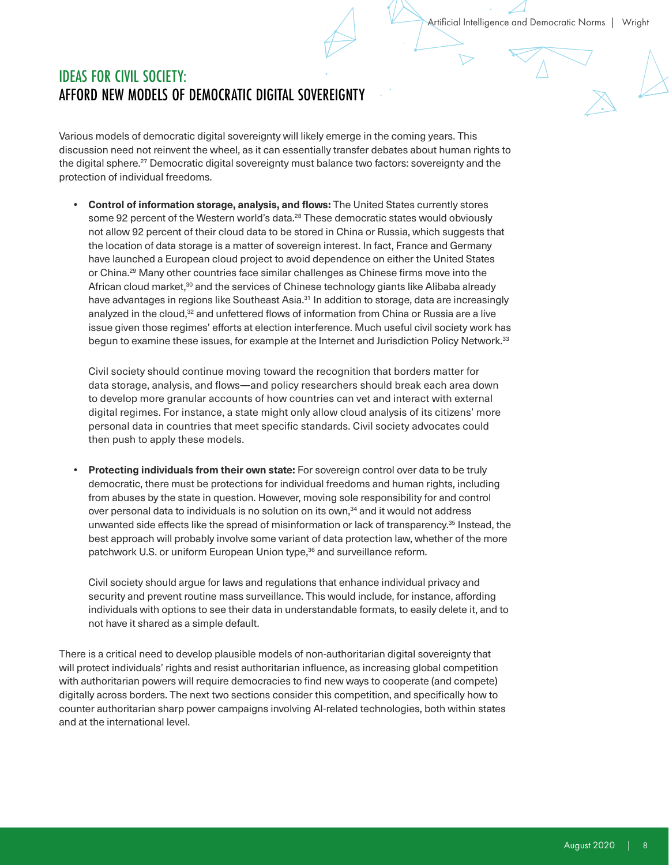#### IDEAS FOR CIVIL SOCIETY: AFFORD NEW MODELS OF DEMOCRATIC DIGITAL SOVEREIGNTY

Various models of democratic digital sovereignty will likely emerge in the coming years. This discussion need not reinvent the wheel, as it can essentially transfer debates about human rights to the digital sphere.<sup>27</sup> Democratic digital sovereignty must balance two factors: sovereignty and the protection of individual freedoms.

**• Control of information storage, analysis, and flows:** The United States currently stores some 92 percent of the Western world's data.<sup>28</sup> These democratic states would obviously not allow 92 percent of their cloud data to be stored in China or Russia, which suggests that the location of data storage is a matter of sovereign interest. In fact, France and Germany have launched a European cloud project to avoid dependence on either the United States or China.29 Many other countries face similar challenges as Chinese firms move into the African cloud market,<sup>30</sup> and the services of Chinese technology giants like Alibaba already have advantages in regions like Southeast Asia.<sup>31</sup> In addition to storage, data are increasingly analyzed in the cloud,<sup>32</sup> and unfettered flows of information from China or Russia are a live issue given those regimes' efforts at election interference. Much useful civil society work has begun to examine these issues, for example at the Internet and Jurisdiction Policy Network.<sup>33</sup>

Civil society should continue moving toward the recognition that borders matter for data storage, analysis, and flows—and policy researchers should break each area down to develop more granular accounts of how countries can vet and interact with external digital regimes. For instance, a state might only allow cloud analysis of its citizens' more personal data in countries that meet specific standards. Civil society advocates could then push to apply these models.

**• Protecting individuals from their own state:** For sovereign control over data to be truly democratic, there must be protections for individual freedoms and human rights, including from abuses by the state in question. However, moving sole responsibility for and control over personal data to individuals is no solution on its own,<sup>34</sup> and it would not address unwanted side effects like the spread of misinformation or lack of transparency.35 Instead, the best approach will probably involve some variant of data protection law, whether of the more patchwork U.S. or uniform European Union type,<sup>36</sup> and surveillance reform.

Civil society should argue for laws and regulations that enhance individual privacy and security and prevent routine mass surveillance. This would include, for instance, affording individuals with options to see their data in understandable formats, to easily delete it, and to not have it shared as a simple default.

There is a critical need to develop plausible models of non-authoritarian digital sovereignty that will protect individuals' rights and resist authoritarian influence, as increasing global competition with authoritarian powers will require democracies to find new ways to cooperate (and compete) digitally across borders. The next two sections consider this competition, and specifically how to counter authoritarian sharp power campaigns involving AI-related technologies, both within states and at the international level.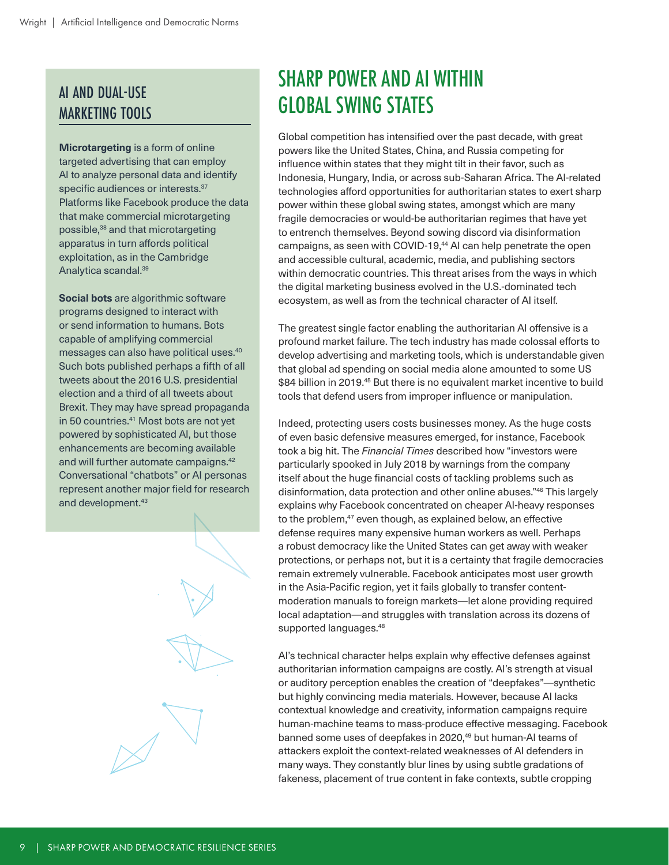## AI AND DUAL-USE MARKETING TOOLS

**Microtargeting** is a form of online targeted advertising that can employ AI to analyze personal data and identify specific audiences or interests.<sup>37</sup> Platforms like Facebook produce the data that make commercial microtargeting possible,38 and that microtargeting apparatus in turn affords political exploitation, as in the Cambridge Analytica scandal.39

**Social bots** are algorithmic software programs designed to interact with or send information to humans. Bots capable of amplifying commercial messages can also have political uses.40 Such bots published perhaps a fifth of all tweets about the 2016 U.S. presidential election and a third of all tweets about Brexit. They may have spread propaganda in 50 countries.<sup>41</sup> Most bots are not yet powered by sophisticated AI, but those enhancements are becoming available and will further automate campaigns.42 Conversational "chatbots" or AI personas represent another major field for research and development.43

## SHARP POWER AND AI WITHIN GLOBAL SWING STATES

Global competition has intensified over the past decade, with great powers like the United States, China, and Russia competing for influence within states that they might tilt in their favor, such as Indonesia, Hungary, India, or across sub-Saharan Africa. The AI-related technologies afford opportunities for authoritarian states to exert sharp power within these global swing states, amongst which are many fragile democracies or would-be authoritarian regimes that have yet to entrench themselves. Beyond sowing discord via disinformation campaigns, as seen with COVID-19,<sup>44</sup> AI can help penetrate the open and accessible cultural, academic, media, and publishing sectors within democratic countries. This threat arises from the ways in which the digital marketing business evolved in the U.S.-dominated tech ecosystem, as well as from the technical character of AI itself.

The greatest single factor enabling the authoritarian AI offensive is a profound market failure. The tech industry has made colossal efforts to develop advertising and marketing tools, which is understandable given that global ad spending on social media alone amounted to some US \$84 billion in 2019.<sup>45</sup> But there is no equivalent market incentive to build tools that defend users from improper influence or manipulation.

Indeed, protecting users costs businesses money. As the huge costs of even basic defensive measures emerged, for instance, Facebook took a big hit. The *Financial Times* described how "investors were particularly spooked in July 2018 by warnings from the company itself about the huge financial costs of tackling problems such as disinformation, data protection and other online abuses."46 This largely explains why Facebook concentrated on cheaper AI-heavy responses to the problem,<sup>47</sup> even though, as explained below, an effective defense requires many expensive human workers as well. Perhaps a robust democracy like the United States can get away with weaker protections, or perhaps not, but it is a certainty that fragile democracies remain extremely vulnerable. Facebook anticipates most user growth in the Asia-Pacific region, yet it fails globally to transfer contentmoderation manuals to foreign markets—let alone providing required local adaptation—and struggles with translation across its dozens of supported languages.<sup>48</sup>

AI's technical character helps explain why effective defenses against authoritarian information campaigns are costly. AI's strength at visual or auditory perception enables the creation of "deepfakes"—synthetic but highly convincing media materials. However, because AI lacks contextual knowledge and creativity, information campaigns require human-machine teams to mass-produce effective messaging. Facebook banned some uses of deepfakes in 2020,<sup>49</sup> but human-AI teams of attackers exploit the context-related weaknesses of AI defenders in many ways. They constantly blur lines by using subtle gradations of fakeness, placement of true content in fake contexts, subtle cropping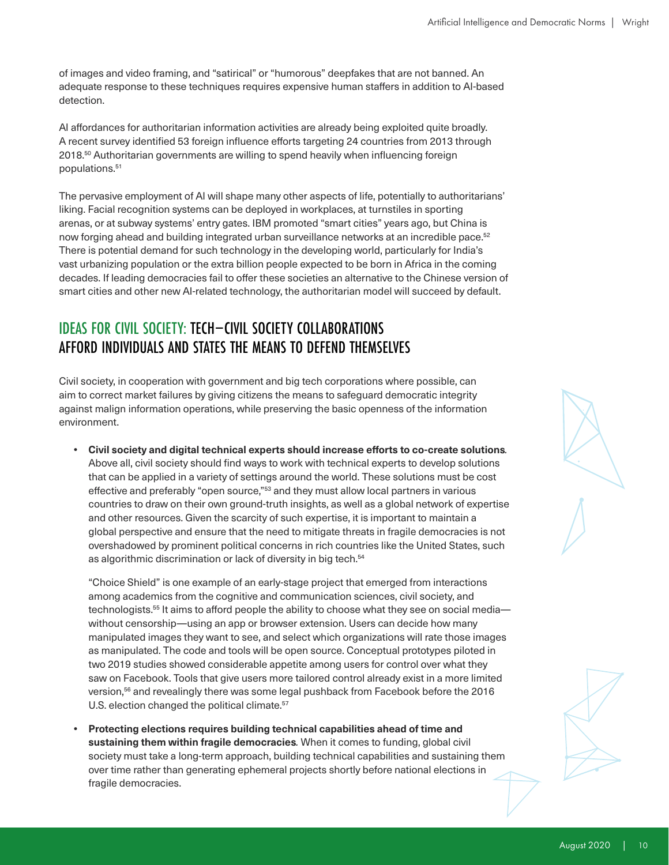of images and video framing, and "satirical" or "humorous" deepfakes that are not banned. An adequate response to these techniques requires expensive human staffers in addition to AI-based detection.

AI affordances for authoritarian information activities are already being exploited quite broadly. A recent survey identified 53 foreign influence efforts targeting 24 countries from 2013 through 2018.<sup>50</sup> Authoritarian governments are willing to spend heavily when influencing foreign populations.51

The pervasive employment of AI will shape many other aspects of life, potentially to authoritarians' liking. Facial recognition systems can be deployed in workplaces, at turnstiles in sporting arenas, or at subway systems' entry gates. IBM promoted "smart cities" years ago, but China is now forging ahead and building integrated urban surveillance networks at an incredible pace.<sup>52</sup> There is potential demand for such technology in the developing world, particularly for India's vast urbanizing population or the extra billion people expected to be born in Africa in the coming decades. If leading democracies fail to offer these societies an alternative to the Chinese version of smart cities and other new AI-related technology, the authoritarian model will succeed by default.

#### IDEAS FOR CIVIL SOCIETY: TECH–CIVIL SOCIETY COLLABORATIONS AFFORD INDIVIDUALS AND STATES THE MEANS TO DEFEND THEMSELVES

Civil society, in cooperation with government and big tech corporations where possible, can aim to correct market failures by giving citizens the means to safeguard democratic integrity against malign information operations, while preserving the basic openness of the information environment.

**• Civil society and digital technical experts should increase efforts to co-create solutions***.*  Above all, civil society should find ways to work with technical experts to develop solutions that can be applied in a variety of settings around the world. These solutions must be cost effective and preferably "open source,"<sup>53</sup> and they must allow local partners in various countries to draw on their own ground-truth insights, as well as a global network of expertise and other resources. Given the scarcity of such expertise, it is important to maintain a global perspective and ensure that the need to mitigate threats in fragile democracies is not overshadowed by prominent political concerns in rich countries like the United States, such as algorithmic discrimination or lack of diversity in big tech.<sup>54</sup>

"Choice Shield" is one example of an early-stage project that emerged from interactions among academics from the cognitive and communication sciences, civil society, and technologists.<sup>55</sup> It aims to afford people the ability to choose what they see on social media without censorship—using an app or browser extension. Users can decide how many manipulated images they want to see, and select which organizations will rate those images as manipulated. The code and tools will be open source. Conceptual prototypes piloted in two 2019 studies showed considerable appetite among users for control over what they saw on Facebook. Tools that give users more tailored control already exist in a more limited version,56 and revealingly there was some legal pushback from Facebook before the 2016 U.S. election changed the political climate.<sup>57</sup>

**• Protecting elections requires building technical capabilities ahead of time and sustaining them within fragile democracies***.* When it comes to funding, global civil society must take a long-term approach, building technical capabilities and sustaining them over time rather than generating ephemeral projects shortly before national elections in fragile democracies.



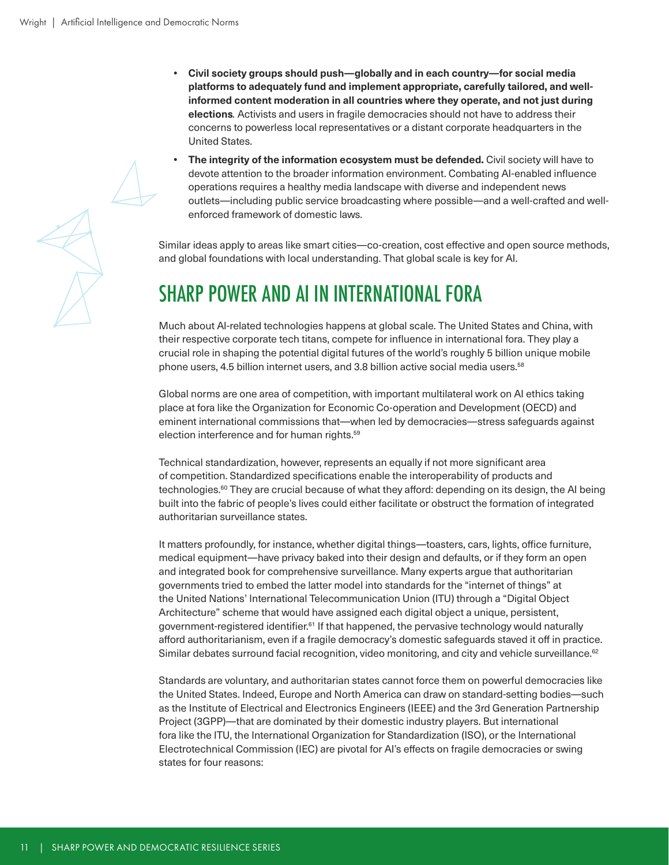- **• Civil society groups should push—globally and in each country—for social media platforms to adequately fund and implement appropriate, carefully tailored, and wellinformed content moderation in all countries where they operate, and not just during elections***.* Activists and users in fragile democracies should not have to address their concerns to powerless local representatives or a distant corporate headquarters in the United States.
- **• The integrity of the information ecosystem must be defended.** Civil society will have to devote attention to the broader information environment. Combating AI-enabled influence operations requires a healthy media landscape with diverse and independent news outlets—including public service broadcasting where possible—and a well-crafted and wellenforced framework of domestic laws.

Similar ideas apply to areas like smart cities—co-creation, cost effective and open source methods, and global foundations with local understanding. That global scale is key for AI.

## SHARP POWER AND AI IN INTERNATIONAL FORA

Much about AI-related technologies happens at global scale. The United States and China, with their respective corporate tech titans, compete for influence in international fora. They play a crucial role in shaping the potential digital futures of the world's roughly 5 billion unique mobile phone users, 4.5 billion internet users, and 3.8 billion active social media users.58

Global norms are one area of competition, with important multilateral work on AI ethics taking place at fora like the Organization for Economic Co-operation and Development (OECD) and eminent international commissions that—when led by democracies—stress safeguards against election interference and for human rights.59

Technical standardization, however, represents an equally if not more significant area of competition. Standardized specifications enable the interoperability of products and technologies.<sup>60</sup> They are crucial because of what they afford: depending on its design, the AI being built into the fabric of people's lives could either facilitate or obstruct the formation of integrated authoritarian surveillance states.

It matters profoundly, for instance, whether digital things—toasters, cars, lights, office furniture, medical equipment—have privacy baked into their design and defaults, or if they form an open and integrated book for comprehensive surveillance. Many experts argue that authoritarian governments tried to embed the latter model into standards for the "internet of things" at the United Nations' International Telecommunication Union (ITU) through a "Digital Object Architecture" scheme that would have assigned each digital object a unique, persistent, government-registered identifier.<sup>61</sup> If that happened, the pervasive technology would naturally afford authoritarianism, even if a fragile democracy's domestic safeguards staved it off in practice. Similar debates surround facial recognition, video monitoring, and city and vehicle surveillance.<sup>62</sup>

Standards are voluntary, and authoritarian states cannot force them on powerful democracies like the United States. Indeed, Europe and North America can draw on standard-setting bodies—such as the Institute of Electrical and Electronics Engineers (IEEE) and the 3rd Generation Partnership Project (3GPP)—that are dominated by their domestic industry players. But international fora like the ITU, the International Organization for Standardization (ISO), or the International Electrotechnical Commission (IEC) are pivotal for AI's effects on fragile democracies or swing states for four reasons: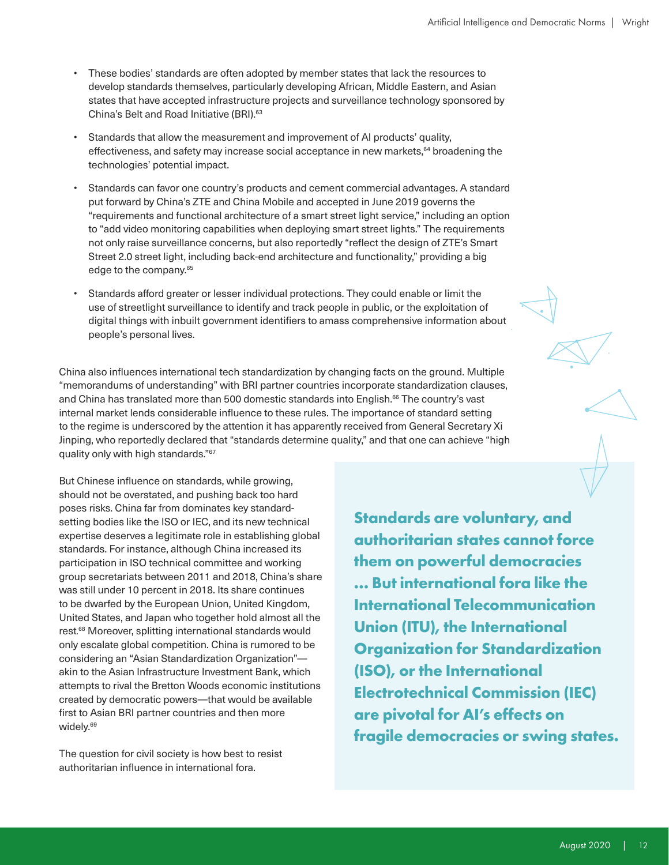- These bodies' standards are often adopted by member states that lack the resources to develop standards themselves, particularly developing African, Middle Eastern, and Asian states that have accepted infrastructure projects and surveillance technology sponsored by China's Belt and Road Initiative (BRI).63
- Standards that allow the measurement and improvement of AI products' quality, effectiveness, and safety may increase social acceptance in new markets, $64$  broadening the technologies' potential impact.
- Standards can favor one country's products and cement commercial advantages. A standard put forward by China's ZTE and China Mobile and accepted in June 2019 governs the "requirements and functional architecture of a smart street light service," including an option to "add video monitoring capabilities when deploying smart street lights." The requirements not only raise surveillance concerns, but also reportedly "reflect the design of ZTE's Smart Street 2.0 street light, including back-end architecture and functionality," providing a big edge to the company.<sup>65</sup>
- Standards afford greater or lesser individual protections. They could enable or limit the use of streetlight surveillance to identify and track people in public, or the exploitation of digital things with inbuilt government identifiers to amass comprehensive information about people's personal lives.

China also influences international tech standardization by changing facts on the ground. Multiple "memorandums of understanding" with BRI partner countries incorporate standardization clauses, and China has translated more than 500 domestic standards into English.<sup>66</sup> The country's vast internal market lends considerable influence to these rules. The importance of standard setting to the regime is underscored by the attention it has apparently received from General Secretary Xi Jinping, who reportedly declared that "standards determine quality," and that one can achieve "high quality only with high standards."67

But Chinese influence on standards, while growing, should not be overstated, and pushing back too hard poses risks. China far from dominates key standardsetting bodies like the ISO or IEC, and its new technical expertise deserves a legitimate role in establishing global standards. For instance, although China increased its participation in ISO technical committee and working group secretariats between 2011 and 2018, China's share was still under 10 percent in 2018. Its share continues to be dwarfed by the European Union, United Kingdom, United States, and Japan who together hold almost all the rest. 68 Moreover, splitting international standards would only escalate global competition. China is rumored to be considering an "Asian Standardization Organization" akin to the Asian Infrastructure Investment Bank, which attempts to rival the Bretton Woods economic institutions created by democratic powers—that would be available first to Asian BRI partner countries and then more widely.<sup>69</sup>

The question for civil society is how best to resist authoritarian influence in international fora.

**Standards are voluntary, and authoritarian states cannot force them on powerful democracies … But international fora like the International Telecommunication Union (ITU), the International Organization for Standardization (ISO), or the International Electrotechnical Commission (IEC) are pivotal for AI's effects on fragile democracies or swing states.**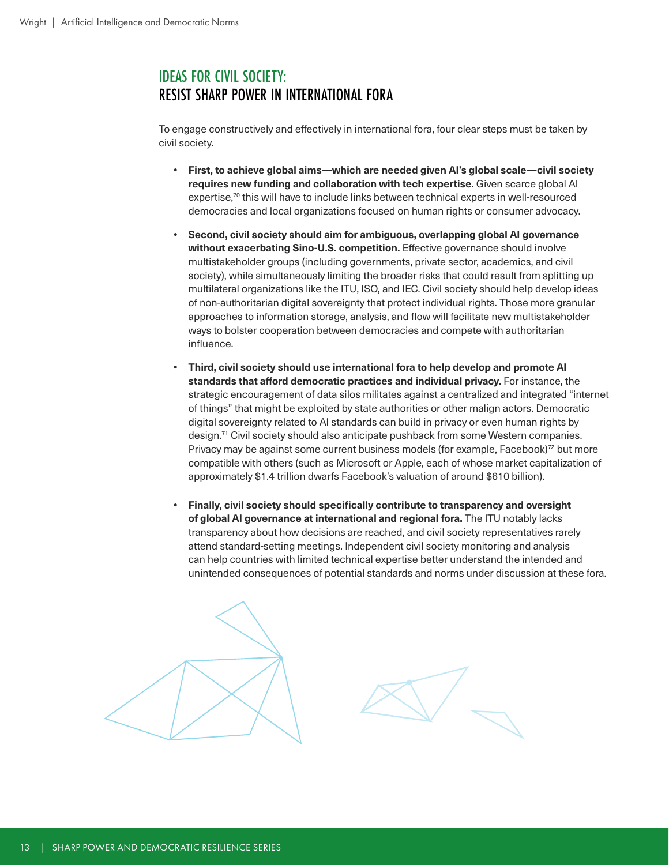#### IDEAS FOR CIVIL SOCIETY: RESIST SHARP POWER IN INTERNATIONAL FORA

To engage constructively and effectively in international fora, four clear steps must be taken by civil society.

- **• First, to achieve global aims—which are needed given AI's global scale—civil society requires new funding and collaboration with tech expertise.** Given scarce global AI expertise,70 this will have to include links between technical experts in well-resourced democracies and local organizations focused on human rights or consumer advocacy.
- **• Second, civil society should aim for ambiguous, overlapping global AI governance without exacerbating Sino-U.S. competition.** Effective governance should involve multistakeholder groups (including governments, private sector, academics, and civil society), while simultaneously limiting the broader risks that could result from splitting up multilateral organizations like the ITU, ISO, and IEC. Civil society should help develop ideas of non-authoritarian digital sovereignty that protect individual rights. Those more granular approaches to information storage, analysis, and flow will facilitate new multistakeholder ways to bolster cooperation between democracies and compete with authoritarian influence.
- **• Third, civil society should use international fora to help develop and promote AI standards that afford democratic practices and individual privacy.** For instance, the strategic encouragement of data silos militates against a centralized and integrated "internet of things" that might be exploited by state authorities or other malign actors. Democratic digital sovereignty related to AI standards can build in privacy or even human rights by design.71 Civil society should also anticipate pushback from some Western companies. Privacy may be against some current business models (for example, Facebook)<sup>72</sup> but more compatible with others (such as Microsoft or Apple, each of whose market capitalization of approximately \$1.4 trillion dwarfs Facebook's valuation of around \$610 billion).
- **• Finally, civil society should specifically contribute to transparency and oversight of global AI governance at international and regional fora.** The ITU notably lacks transparency about how decisions are reached, and civil society representatives rarely attend standard-setting meetings. Independent civil society monitoring and analysis can help countries with limited technical expertise better understand the intended and unintended consequences of potential standards and norms under discussion at these fora.



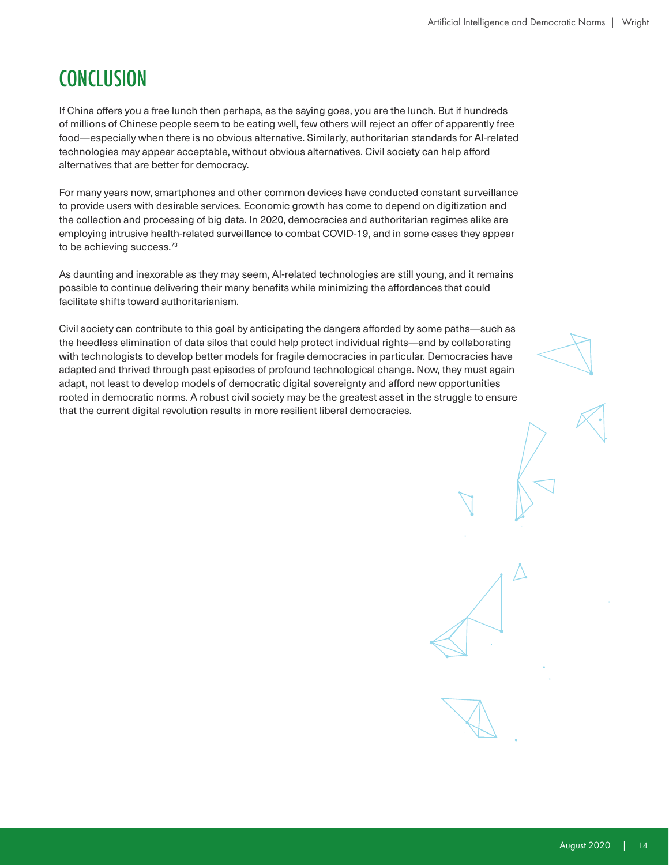## **CONCLUSION**

If China offers you a free lunch then perhaps, as the saying goes, you are the lunch. But if hundreds of millions of Chinese people seem to be eating well, few others will reject an offer of apparently free food—especially when there is no obvious alternative. Similarly, authoritarian standards for AI-related technologies may appear acceptable, without obvious alternatives. Civil society can help afford alternatives that are better for democracy.

For many years now, smartphones and other common devices have conducted constant surveillance to provide users with desirable services. Economic growth has come to depend on digitization and the collection and processing of big data. In 2020, democracies and authoritarian regimes alike are employing intrusive health-related surveillance to combat COVID-19, and in some cases they appear to be achieving success.<sup>73</sup>

As daunting and inexorable as they may seem, AI-related technologies are still young, and it remains possible to continue delivering their many benefits while minimizing the affordances that could facilitate shifts toward authoritarianism.

Civil society can contribute to this goal by anticipating the dangers afforded by some paths—such as the heedless elimination of data silos that could help protect individual rights—and by collaborating with technologists to develop better models for fragile democracies in particular. Democracies have adapted and thrived through past episodes of profound technological change. Now, they must again adapt, not least to develop models of democratic digital sovereignty and afford new opportunities rooted in democratic norms. A robust civil society may be the greatest asset in the struggle to ensure that the current digital revolution results in more resilient liberal democracies.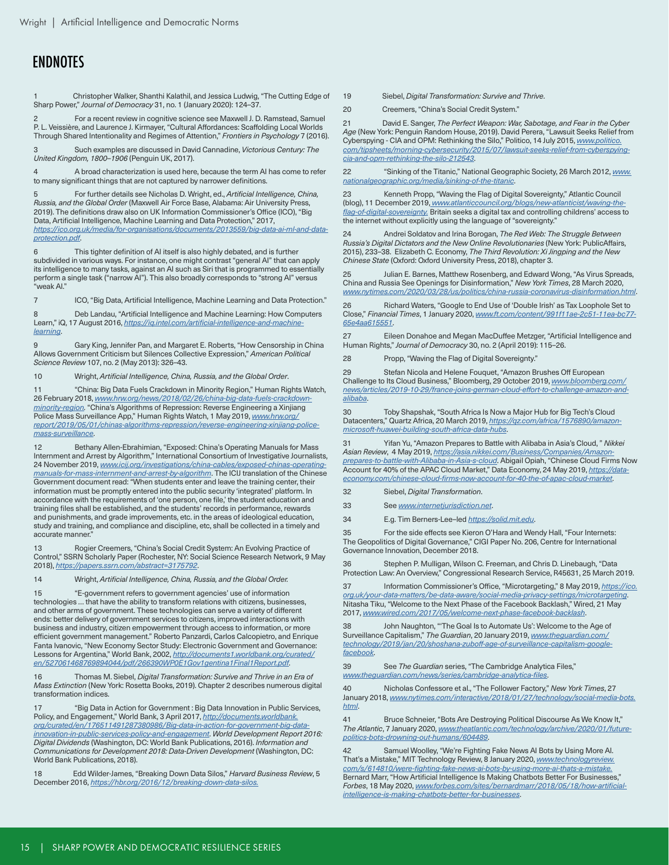#### **ENDNOTES**

1 Christopher Walker, Shanthi Kalathil, and Jessica Ludwig, "The Cutting Edge of Sharp Power," *Journal of Democracy* 31, no. 1 (January 2020): 124–37.

2 For a recent review in cognitive science see Maxwell J. D. Ramstead, Samuel P. L. Veissière, and Laurence J. Kirmayer, "Cultural Affordances: Scaffolding Local Worlds Through Shared Intentionality and Regimes of Attention," *Frontiers in Psychology* 7 (2016).

3 Such examples are discussed in David Cannadine, *Victorious Century: The United Kingdom, 1800–1906* (Penguin UK, 2017).

4 A broad characterization is used here, because the term AI has come to refer to many significant things that are not captured by narrower definitions.

5 For further details see Nicholas D. Wright, ed., *Artificial Intelligence, China, Russia, and the Global Order* (Maxwell Air Force Base, Alabama: Air University Press, 2019). The definitions draw also on UK Information Commissioner's Office (ICO), "Big Data, Artificial Intelligence, Machine Learning and Data Protection," 2017, *[https://ico.org.uk/media/for-organisations/documents/2013559/big-data-ai-ml-and-data](https://ico.org.uk/media/for-organisations/documents/2013559/big-data-ai-ml-and-data-protection.pdf)[protection.pdf](https://ico.org.uk/media/for-organisations/documents/2013559/big-data-ai-ml-and-data-protection.pdf)*.

6 This tighter definition of AI itself is also highly debated, and is further subdivided in various ways. For instance, one might contrast "general AI" that can apply its intelligence to many tasks, against an AI such as Siri that is programmed to essentially perform a single task ("narrow AI"). This also broadly corresponds to "strong AI" versus "weak AI."

7 ICO, "Big Data, Artificial Intelligence, Machine Learning and Data Protection."

8 Deb Landau, "Artificial Intelligence and Machine Learning: How Computers Learn," iQ, 17 August 2016, *[https://iq.intel.com/artificial-intelligence-and-machine](https://iq.intel.com/artificial-intelligence-and-machine-learning)[learning](https://iq.intel.com/artificial-intelligence-and-machine-learning)*.

9 Gary King, Jennifer Pan, and Margaret E. Roberts, "How Censorship in China Allows Government Criticism but Silences Collective Expression," *American Political Science Review* 107, no. 2 (May 2013): 326–43.

10 Wright, *Artificial Intelligence, China, Russia, and the Global Order*.

11 "China: Big Data Fuels Crackdown in Minority Region," Human Rights Watch, 26 February 2018, *[www.hrw.org/news/2018/02/26/china-big-data-fuels-crackdown](http://www.hrw.org/news/2018/02/26/china-big-data-fuels-crackdown-minority-region)[minority-region.](http://www.hrw.org/news/2018/02/26/china-big-data-fuels-crackdown-minority-region)* "China's Algorithms of Repression: Reverse Engineering a Xinjiang Police Mass Surveillance App," Human Rights Watch, 1 May 2019, *[www.hrw.org/](http://www.hrw.org/report/2019/05/01/chinas-algorithms-repression/reverse-engineering-xinjiang-police-mass-surveillance) [report/2019/05/01/chinas-algorithms-repression/reverse-engineering-xinjiang-police](http://www.hrw.org/report/2019/05/01/chinas-algorithms-repression/reverse-engineering-xinjiang-police-mass-surveillance)[mass-surveillance](http://www.hrw.org/report/2019/05/01/chinas-algorithms-repression/reverse-engineering-xinjiang-police-mass-surveillance)*.

12 Bethany Allen-Ebrahimian, "Exposed: China's Operating Manuals for Mass Internment and Arrest by Algorithm," International Consortium of Investigative Journalists, 24 November 2019, *[www.icij.org/investigations/china-cables/exposed-chinas-operating](http://www.icij.org/investigations/china-cables/exposed-chinas-operating-manuals-for-mass-internment-and-arrest-by-algorithm)[manuals-for-mass-internment-and-arrest-by-algorithm](http://www.icij.org/investigations/china-cables/exposed-chinas-operating-manuals-for-mass-internment-and-arrest-by-algorithm)*. The ICIJ translation of the Chinese Government document read: "When students enter and leave the training center, their information must be promptly entered into the public security 'integrated' platform. In accordance with the requirements of 'one person, one file,' the student education and training files shall be established, and the students' records in performance, rewards and punishments, and grade improvements, etc. in the areas of ideological education, study and training, and compliance and discipline, etc, shall be collected in a timely and accurate manner."

13 Rogier Creemers, "China's Social Credit System: An Evolving Practice of Control," SSRN Scholarly Paper (Rochester, NY: Social Science Research Network, 9 May 2018), *<https://papers.ssrn.com/abstract=3175792>*.

14 Wright, *Artificial Intelligence, China, Russia, and the Global Order.* 

15 "E-government refers to government agencies' use of information technologies … that have the ability to transform relations with citizens, businesses, and other arms of government. These technologies can serve a variety of different ends: better delivery of government services to citizens, improved interactions with business and industry, citizen empowerment through access to information, or more efficient government management." Roberto Panzardi, Carlos Calcopietro, and Enrique Fanta Ivanovic, "New Economy Sector Study: Electronic Government and Governance: Lessons for Argentina," World Bank, 2002, *[http://documents1.worldbank.org/curated/](http://documents1.worldbank.org/curated/en/527061468769894044/pdf/266390WP0E1Gov1gentina1Final1Report.pdf) [en/527061468769894044/pdf/266390WP0E1Gov1gentina1Final1Report.pdf](http://documents1.worldbank.org/curated/en/527061468769894044/pdf/266390WP0E1Gov1gentina1Final1Report.pdf)*.

16 Thomas M. Siebel, *Digital Transformation: Survive and Thrive in an Era of Mass Extinction* (New York: Rosetta Books, 2019). Chapter 2 describes numerous digital transformation indices.

17 "Big Data in Action for Government : Big Data Innovation in Public Services, Policy, and Engagement," World Bank, 3 April 2017, *[http://documents.worldbank.](http://documents.worldbank.org/curated/en/176511491287380986/Big-data-in-action-for-government-big-data-innovation-in-public-services-policy-and-engagement) [org/curated/en/176511491287380986/Big-data-in-action-for-government-big-data](http://documents.worldbank.org/curated/en/176511491287380986/Big-data-in-action-for-government-big-data-innovation-in-public-services-policy-and-engagement)[innovation-in-public-services-policy-and-engagement](http://documents.worldbank.org/curated/en/176511491287380986/Big-data-in-action-for-government-big-data-innovation-in-public-services-policy-and-engagement)*. *World Development Report 2016: Digital Dividends* (Washington, DC: World Bank Publications, 2016). *Information and Communications for Development 2018: Data-Driven Development* (Washington, DC: World Bank Publications, 2018).

18 Edd Wilder-James, "Breaking Down Data Silos," *Harvard Business Review*, 5 December 2016, *<https://hbr.org/2016/12/breaking-down-data-silos.>*

19 Siebel, *Digital Transformation: Survive and Thrive*.

20 Creemers, "China's Social Credit System."

21 David E. Sanger, *The Perfect Weapon: War, Sabotage, and Fear in the Cyber Age* (New York: Penguin Random House, 2019). David Perera, "Lawsuit Seeks Relief from Cyberspying - CIA and OPM: Rethinking the Silo," Politico, 14 July 2015, *[www.politico.](http://www.politico.com/tipsheets/morning-cybersecurity/2015/07/lawsuit-seeks-relief-from-cyberspying-cia-and-opm-rethinking-the-silo-212543) [com/tipsheets/morning-cybersecurity/2015/07/lawsuit-seeks-relief-from-cyberspying](http://www.politico.com/tipsheets/morning-cybersecurity/2015/07/lawsuit-seeks-relief-from-cyberspying-cia-and-opm-rethinking-the-silo-212543)[cia-and-opm-rethinking-the-silo-212543](http://www.politico.com/tipsheets/morning-cybersecurity/2015/07/lawsuit-seeks-relief-from-cyberspying-cia-and-opm-rethinking-the-silo-212543)*.

22 "Sinking of the Titanic," National Geographic Society, 26 March 2012, *[www.](http://www.nationalgeographic.org/media/sinking-of-the-titanic) [nationalgeographic.org/media/sinking-of-the-titanic](http://www.nationalgeographic.org/media/sinking-of-the-titanic)*.

23 Kenneth Propp, "Waving the Flag of Digital Sovereignty," Atlantic Council (blog), 11 December 2019, *[www.atlanticcouncil.org/blogs/new-atlanticist/waving-the](http://www.atlanticcouncil.org/blogs/new-atlanticist/waving-the-flag-of-digital-sovereignty)[flag-of-digital-sovereignty.](http://www.atlanticcouncil.org/blogs/new-atlanticist/waving-the-flag-of-digital-sovereignty)* Britain seeks a digital tax and controlling childrens' access to the internet without explicitly using the language of "sovereignty."

24 Andrei Soldatov and Irina Borogan, *The Red Web: The Struggle Between Russia's Digital Dictators and the New Online Revolutionaries* (New York: PublicAffairs, 2015), 233–38. Elizabeth C. Economy, *The Third Revolution: Xi Jingping and the New Chinese State* (Oxford: Oxford University Press, 2018), chapter 3.

25 Julian E. Barnes, Matthew Rosenberg, and Edward Wong, "As Virus Spreads, China and Russia See Openings for Disinformation," *New York Times*, 28 March 2020, *[www.nytimes.com/2020/03/28/us/politics/china-russia-coronavirus-disinformation.html](http://www.nytimes.com/2020/03/28/us/politics/china-russia-coronavirus-disinformation.html)*.

26 Richard Waters, "Google to End Use of 'Double Irish' as Tax Loophole Set to Close," *Financial Times*, 1 January 2020, *[www.ft.com/content/991f11ae-2c51-11ea-bc77-](http://www.ft.com/content/991f11ae-2c51-11ea-bc77-65e4aa615551) [65e4aa615551](http://www.ft.com/content/991f11ae-2c51-11ea-bc77-65e4aa615551)*.

27 Eileen Donahoe and Megan MacDuffee Metzger, "Artificial Intelligence and Human Rights," *Journal of Democracy* 30, no. 2 (April 2019): 115–26.

28 Propp, "Waving the Flag of Digital Sovereignty."

29 Stefan Nicola and Helene Fouquet, "Amazon Brushes Off European Challenge to Its Cloud Business," Bloomberg, 29 October 2019, *[www.bloomberg.com/](http://www.bloomberg.com/news/articles/2019-10-29/france-joins-german-cloud-effort-to-challenge-amazon-and-alibaba) [news/articles/2019-10-29/france-joins-german-cloud-effort-to-challenge-amazon-and](http://www.bloomberg.com/news/articles/2019-10-29/france-joins-german-cloud-effort-to-challenge-amazon-and-alibaba)[alibaba](http://www.bloomberg.com/news/articles/2019-10-29/france-joins-german-cloud-effort-to-challenge-amazon-and-alibaba)*.

30 Toby Shapshak, "South Africa Is Now a Major Hub for Big Tech's Cloud Datacenters," Quartz Africa, 20 March 2019, *[https://qz.com/africa/1576890/amazon](https://qz.com/africa/1576890/amazon-microsoft-huawei-building-south-africa-data-hubs)[microsoft-huawei-building-south-africa-data-hubs](https://qz.com/africa/1576890/amazon-microsoft-huawei-building-south-africa-data-hubs)*.

31 Yifan Yu, "Amazon Prepares to Battle with Alibaba in Asia's Cloud, " *Nikkei Asian Review*, 4 May 2019, *[https://asia.nikkei.com/Business/Companies/Amazon](https://asia.nikkei.com/Business/Companies/Amazon-prepares-to-battle-with-Alibaba-in-Asia-s-cloud)[prepares-to-battle-with-Alibaba-in-Asia-s-cloud](https://asia.nikkei.com/Business/Companies/Amazon-prepares-to-battle-with-Alibaba-in-Asia-s-cloud)*. Abigail Opiah, "Chinese Cloud Firms Now Account for 40% of the APAC Cloud Market," Data Economy, 24 May 2019, *[https://data](https://data-economy.com/chinese-cloud-firms-now-account-for-40-the-of-apac-cloud-market)[economy.com/chinese-cloud-firms-now-account-for-40-the-of-apac-cloud-market](https://data-economy.com/chinese-cloud-firms-now-account-for-40-the-of-apac-cloud-market)*.

32 Siebel, *Digital Transformation*.

33 See *[www.internetjurisdiction.net](http://www.internetjurisdiction.net)*.

34 E.g. Tim Berners-Lee–led *<https://solid.mit.edu>*.

35 For the side effects see Kieron O'Hara and Wendy Hall, "Four Internets: The Geopolitics of Digital Governance," CIGI Paper No. 206, Centre for International Governance Innovation, December 2018.

36 Stephen P. Mulligan, Wilson C. Freeman, and Chris D. Linebaugh, "Data Protection Law: An Overview," Congressional Research Service, R45631, 25 March 2019.

37 Information Commissioner's Office, "Microtargeting," 8 May 2019, *[https://ico.](https://ico.org.uk/your-data-matters/be-data-aware/social-media-privacy-settings/microtargeting) [org.uk/your-data-matters/be-data-aware/social-media-privacy-settings/microtargeting](https://ico.org.uk/your-data-matters/be-data-aware/social-media-privacy-settings/microtargeting)*. Nitasha Tiku, "Welcome to the Next Phase of the Facebook Backlash," Wired, 21 May 2017, *[www.wired.com/2017/05/welcome-next-phase-facebook-backlash](http://www.wired.com/2017/05/welcome-next-phase-facebook-backlash)*.

38 John Naughton, "'The Goal Is to Automate Us': Welcome to the Age of Surveillance Capitalism," *The Guardian*, 20 January 2019, *[www.theguardian.com/](http://www.theguardian.com/technology/2019/jan/20/shoshana-zuboff-age-of-surveillance-capitalism-google-facebook) [technology/2019/jan/20/shoshana-zuboff-age-of-surveillance-capitalism-google](http://www.theguardian.com/technology/2019/jan/20/shoshana-zuboff-age-of-surveillance-capitalism-google-facebook)[facebook](http://www.theguardian.com/technology/2019/jan/20/shoshana-zuboff-age-of-surveillance-capitalism-google-facebook)*.

39 See *The Guardian* series, "The Cambridge Analytica Files," *[www.theguardian.com/news/series/cambridge-analytica-files](http://www.theguardian.com/news/series/cambridge-analytica-files)*.

40 Nicholas Confessore et al., "The Follower Factory," *New York Times*, 27 January 2018, *[www.nytimes.com/interactive/2018/01/27/technology/social-media-bots.](http://www.nytimes.com/interactive/2018/01/27/technology/social-media-bots.html) [html](http://www.nytimes.com/interactive/2018/01/27/technology/social-media-bots.html)*.

41 Bruce Schneier, "Bots Are Destroying Political Discourse As We Know It," *The Atlantic*, 7 January 2020, *[www.theatlantic.com/technology/archive/2020/01/future](http://www.theatlantic.com/technology/archive/2020/01/future-politics-bots-drowning-out-humans/604489)[politics-bots-drowning-out-humans/604489](http://www.theatlantic.com/technology/archive/2020/01/future-politics-bots-drowning-out-humans/604489)*.

42 Samuel Woolley, "We're Fighting Fake News AI Bots by Using More AI. That's a Mistake," MIT Technology Review, 8 January 2020, *[www.technologyreview.](http://www.technologyreview.com/s/614810/were-fighting-fake-news-ai-bots-by-using-more-ai-thats-a-mistake) [com/s/614810/were-fighting-fake-news-ai-bots-by-using-more-ai-thats-a-mistake](http://www.technologyreview.com/s/614810/were-fighting-fake-news-ai-bots-by-using-more-ai-thats-a-mistake).*

Bernard Marr, "How Artificial Intelligence Is Making Chatbots Better For Businesses," *Forbes*, 18 May 2020, *[www.forbes.com/sites/bernardmarr/2018/05/18/how-artificial](http://www.forbes.com/sites/bernardmarr/2018/05/18/how-artificial-intelligence-is-making-chatbots-better-for-businesses)[intelligence-is-making-chatbots-better-for-businesses](http://www.forbes.com/sites/bernardmarr/2018/05/18/how-artificial-intelligence-is-making-chatbots-better-for-businesses)*.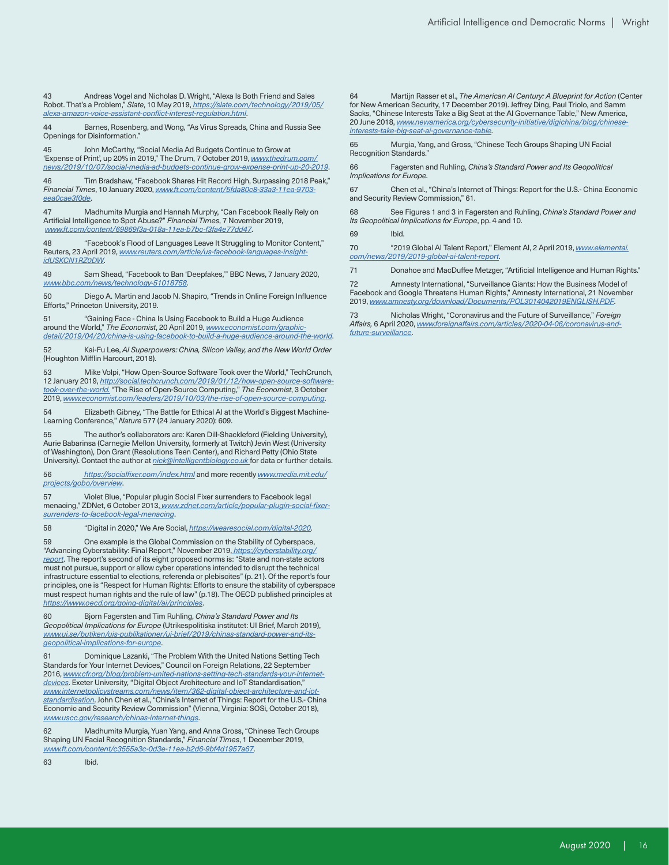Andreas Vogel and Nicholas D. Wright, "Alexa Is Both Friend and Sales Robot. That's a Problem," *Slate*, 10 May 2019, *[https://slate.com/technology/2019/05/](https://slate.com/technology/2019/05/alexa-amazon-voice-assistant-conflict-interest-regulation.html) [alexa-amazon-voice-assistant-conflict-interest-regulation.html](https://slate.com/technology/2019/05/alexa-amazon-voice-assistant-conflict-interest-regulation.html)*.

44 Barnes, Rosenberg, and Wong, "As Virus Spreads, China and Russia See Openings for Disinformation."

John McCarthy, "Social Media Ad Budgets Continue to Grow at 'Expense of Print', up 20% in 2019," The Drum, 7 October 2019, *[www.thedrum.com/](http://www.thedrum.com/news/2019/10/07/social-media-ad-budgets-continue-grow-expense-print-up-20-2019) [news/2019/10/07/social-media-ad-budgets-continue-grow-expense-print-up-20-2019](http://www.thedrum.com/news/2019/10/07/social-media-ad-budgets-continue-grow-expense-print-up-20-2019)*.

46 Tim Bradshaw, "Facebook Shares Hit Record High, Surpassing 2018 Peak," *Financial Times*, 10 January 2020, *[www.ft.com/content/5fda80c8-33a3-11ea-9703](http://www.ft.com/content/5fda80c8-33a3-11ea-9703-eea0cae3f0de) [eea0cae3f0de](http://www.ft.com/content/5fda80c8-33a3-11ea-9703-eea0cae3f0de)*.

47 Madhumita Murgia and Hannah Murphy, "Can Facebook Really Rely on Artificial Intelligence to Spot Abuse?" *Financial Times*, 7 November 2019, *[www.ft.com/content/69869f3a-018a-11ea-b7bc-f3fa4e77dd47](http://www.ft.com/content/69869f3a-018a-11ea-b7bc-f3fa4e77dd47)*.

48 "Facebook's Flood of Languages Leave It Struggling to Monitor Content," Reuters, 23 April 2019, *[www.reuters.com/article/us-facebook-languages-insight](http://www.reuters.com/article/us-facebook-languages-insight-idUSKCN1RZ0DW)[idUSKCN1RZ0DW](http://www.reuters.com/article/us-facebook-languages-insight-idUSKCN1RZ0DW)*.

49 Sam Shead, "Facebook to Ban 'Deepfakes,'" BBC News, 7 January 2020, *[www.bbc.com/news/technology-51018758](http://www.bbc.com/news/technology-51018758)*.

50 Diego A. Martin and Jacob N. Shapiro, "Trends in Online Foreign Influence Efforts," Princeton University, 2019.

51 "Gaining Face - China Is Using Facebook to Build a Huge Audience around the World," *The Economist*, 20 April 2019, *[www.economist.com/graphic](http://www.economist.com/graphic-detail/2019/04/20/china-is-using-facebook-to-build-a-huge-audience-around-the-world)[detail/2019/04/20/china-is-using-facebook-to-build-a-huge-audience-around-the-world](http://www.economist.com/graphic-detail/2019/04/20/china-is-using-facebook-to-build-a-huge-audience-around-the-world)*.

52 Kai-Fu Lee, *AI Superpowers: China, Silicon Valley, and the New World Order*  (Houghton Mifflin Harcourt, 2018).

53 Mike Volpi, "How Open-Source Software Took over the World," TechCrunch, 12 January 2019, *[http://social.techcrunch.com/2019/01/12/how-open-source-software](http://social.techcrunch.com/2019/01/12/how-open-source-software-took-over-the-world)[took-over-the-world](http://social.techcrunch.com/2019/01/12/how-open-source-software-took-over-the-world).* "The Rise of Open-Source Computing," *The Economist*, 3 October 2019, *[www.economist.com/leaders/2019/10/03/the-rise-of-open-source-computing](http://www.economist.com/leaders/2019/10/03/the-rise-of-open-source-computing)*.

54 Elizabeth Gibney, "The Battle for Ethical AI at the World's Biggest Machine-Learning Conference," *Nature* 577 (24 January 2020): 609.

55 The author's collaborators are: Karen Dill-Shackleford (Fielding University), Aurie Babarinsa (Carnegie Mellon University, formerly at Twitch) Jevin West (University of Washington), Don Grant (Resolutions Teen Center), and Richard Petty (Ohio State University). Contact the author at *[nick@intelligentbiology.co.uk](mailto:nick@intelligentbiology.co.uk)* for data or further details.

56*<https://socialfixer.com/index.html>* and more recently *[www.media.mit.edu/](http://www.media.mit.edu/projects/gobo/overview/) [projects/gobo/overview](http://www.media.mit.edu/projects/gobo/overview/)*.

57 Violet Blue, "Popular plugin Social Fixer surrenders to Facebook legal menacing," ZDNet, 6 October 2013, *[www.zdnet.com/article/popular-plugin-social-fixer](http://www.zdnet.com/article/popular-plugin-social-fixer-surrenders-to-facebook-legal-menacing/)[surrenders-to-facebook-legal-menacing](http://www.zdnet.com/article/popular-plugin-social-fixer-surrenders-to-facebook-legal-menacing/)*.

58 "Digital in 2020," We Are Social, *<https://wearesocial.com/digital-2020>*.

One example is the Global Commission on the Stability of Cyberspace, "Advancing Cyberstability: Final Report," November 2019, *[https://cyberstability.org/](https://cyberstability.org/report) [report](https://cyberstability.org/report)*. The report's second of its eight proposed norms is: "State and non-state actors must not pursue, support or allow cyber operations intended to disrupt the technical infrastructure essential to elections, referenda or plebiscites" (p. 21). Of the report's four principles, one is "Respect for Human Rights: Efforts to ensure the stability of cyberspace must respect human rights and the rule of law" (p.18). The OECD published principles at *<https://www.oecd.org/going-digital/ai/principles>*.

60 Bjorn Fagersten and Tim Ruhling, *China's Standard Power and Its Geopolitical Implications for Europe* (Utrikespolitiska institutet: UI Brief, March 2019), *[www.ui.se/butiken/uis-publikationer/ui-brief/2019/chinas-standard-power-and-its](http://www.ui.se/butiken/uis-publikationer/ui-brief/2019/chinas-standard-power-and-its-geopolitical-implications-for-europe)[geopolitical-implications-for-europe](http://www.ui.se/butiken/uis-publikationer/ui-brief/2019/chinas-standard-power-and-its-geopolitical-implications-for-europe)*.

Dominique Lazanki, "The Problem With the United Nations Setting Tech Standards for Your Internet Devices," Council on Foreign Relations, 22 September 2016, *[www.cfr.org/blog/problem-united-nations-setting-tech-standards-your-internet](http://www.cfr.org/blog/problem-united-nations-setting-tech-standards-your-internet-devices)[devices](http://www.cfr.org/blog/problem-united-nations-setting-tech-standards-your-internet-devices)*. Exeter University, "Digital Object Architecture and IoT Standardisation," *[www.internetpolicystreams.com/news/item/362-digital-object-architecture-and-iot](http://www.internetpolicystreams.com/news/item/362-digital-object-architecture-and-iot-standardisation)[standardisation](http://www.internetpolicystreams.com/news/item/362-digital-object-architecture-and-iot-standardisation)*. John Chen et al., "China's Internet of Things: Report for the U.S.- China Economic and Security Review Commission" (Vienna, Virginia: SOSi, October 2018), *[www.uscc.gov/research/chinas-internet-things](http://www.uscc.gov/research/chinas-internet-things)*.

Madhumita Murgia, Yuan Yang, and Anna Gross, "Chinese Tech Groups Shaping UN Facial Recognition Standards," *Financial Times*, 1 December 2019, *[www.ft.com/content/c3555a3c-0d3e-11ea-b2d6-9bf4d1957a67](http://www.ft.com/content/c3555a3c-0d3e-11ea-b2d6-9bf4d1957a67)*.

63 Ibid.

64 Martijn Rasser et al., *The American AI Century: A Blueprint for Action* (Center for New American Security, 17 December 2019). Jeffrey Ding, Paul Triolo, and Samm Sacks, "Chinese Interests Take a Big Seat at the AI Governance Table," New America, 20 June 2018, *[www.newamerica.org/cybersecurity-initiative/digichina/blog/chinese](http://www.newamerica.org/cybersecurity-initiative/digichina/blog/chinese-interests-take-big-seat-ai-governance-table)[interests-take-big-seat-ai-governance-table](http://www.newamerica.org/cybersecurity-initiative/digichina/blog/chinese-interests-take-big-seat-ai-governance-table)*.

65 Murgia, Yang, and Gross, "Chinese Tech Groups Shaping UN Facial Recognition Standards."

66 Fagersten and Ruhling, *China's Standard Power and Its Geopolitical Implications for Europe.* 

Chen et al., "China's Internet of Things: Report for the U.S.- China Economic and Security Review Commission," 61.

68 See Figures 1 and 3 in Fagersten and Ruhling, *China's Standard Power and Its Geopolitical Implications for Europe*, pp. 4 and 10.

69 Ibid.

70 "2019 Global AI Talent Report," Element AI, 2 April 2019, *[www.elementai.](http://www.elementai.com/news/2019/2019-global-ai-talent-report) [com/news/2019/2019-global-ai-talent-report](http://www.elementai.com/news/2019/2019-global-ai-talent-report)*.

71 Donahoe and MacDuffee Metzger, "Artificial Intelligence and Human Rights."

72 Amnesty International, "Surveillance Giants: How the Business Model of Facebook and Google Threatens Human Rights," Amnesty International, 21 November 2019, *[www.amnesty.org/download/Documents/POL3014042019ENGLISH.PDF](http://www.amnesty.org/download/Documents/POL3014042019ENGLISH.PDF)*.

73 Nicholas Wright, "Coronavirus and the Future of Surveillance," *Foreign Affairs,* 6 April 2020, *[www.foreignaffairs.com/articles/2020-04-06/coronavirus-and](http://www.foreignaffairs.com/articles/2020-04-06/coronavirus-and-future-surveillance)[future-surveillance](http://www.foreignaffairs.com/articles/2020-04-06/coronavirus-and-future-surveillance)*.